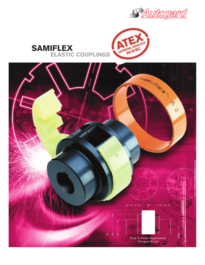



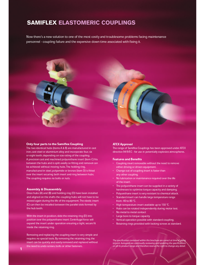### SAMIFLEX ELASTOMERIC COUPLINGS

Now there's a new solution to one of the most costly and troublesome problems facing maintenance personnel - coupling failure and the expensive down time associated with fixing it.



#### Only four parts to the Samiflex Coupling

The two identical hubs (items A & B) are manufactured in cast iron, cast steel or aluminium alloy and incorporate four, six or eight teeth, depending on size rating of the coupling. A precision cast and machined polyurethane insert (item C) fits between the hubs and is split axially so fitting and removal can be achieved without moving hubs.The holding ring, manufactured in steel, polyamide or bronze (item D) is fitted over the insert securing both insert and ring between hubs. The coupling requires no bolts or nuts.

#### Assembly & Disassembly

Once hubs (A) and (B) and holding ring (D) have been installed and aligned on the shafts the coupling hubs will not have to be moved again during the life of the equipment.The elastic insert (C) can then be installed between the parallel slots formed by the hub teeth.

With the insert in position, slide the retaining ring (D) into position over the polyurethane insert. Centrifugal force will expand the insert under operation ensuring a tight, secure fit inside the retaining ring.

Removing and replacing the coupling insert is very simple and requires no special tools. By removing the retaining ring, the insert can be quickly and easily removed and replaced without the need to undo screws, bolts or other fasteners.

#### ATEX Approval

The range of Samiflex Couplings has been approved under ATEX directive 94/9/EC - for use in potentially explosive atmospheres.

#### Features and Benefits

- Coupling insert removable without the need to remove either driving or driven equipment.
- Change out of coupling insert is faster than any other coupling.
- No lubrication or maintenance required over the life of the insert.
- The polyurethane insert can be supplied in a variety of hardnesses to optimise torque capacity and damping.
- Polyurethane insert is very resistant to chemical attack.
- Standard insert can handle large temperature range from -40 to 80 °C.
- High temperature insert available up to 150 °C.
- Hubs can be rotated independently during motor test.
- No metal to metal contact
- Large bore to torque capacity
- Vertical operation possible with standard coupling.
- Retaining rings provided with locking screws as standard.

The specification contained within this brochure are correct at time of going to print. Autogard are continually reviewing and updating the specifications on all its product range and therefore reserve the right to change any detail.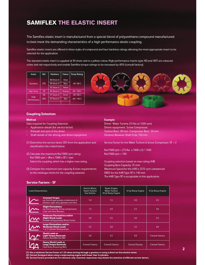## SAMIFLEX THE ELASTIC INSERT

The Samiflex elastic insert is manufactured from a special blend of polyurethane compound manufactured to best meet the demanding characteristics of a high performance elastic coupling.

Samiflex elastic inserts are offered in three styles of compound and four hardness ratings allowing the most appropriate insert to be selected for the application.

The standard elastic insert is supplied at 95 shore and is a yellow colour. High performance inserts type HD and HDT are coloured ochre and red respectively and enable Samiflex torque ratings to be increased by 40% (consult factory).

| <b>Insert</b>       | Ref.       | <b>Hardness</b> | Colour | Temp. Rating |
|---------------------|------------|-----------------|--------|--------------|
|                     |            | 80 Shore A      | Clear  |              |
| Standard            | <b>STD</b> | 90 Shore A      | Blue   | $-40/80C$    |
|                     |            | 95 Shore A      | Yellow |              |
| High Temp.          | HT         | 95 Shore A      | Orange | $-40/140C$   |
|                     | <b>HD</b>  | 97 Shore A      | Ochre  | $-40/80C$    |
| High<br>Performance | <b>HDT</b> | 97 Shore A      | Red    | $-40/140C$   |
|                     |            |                 |        |              |



#### Coupling Selection

#### Method

Data required for Coupling Selection.

- Application details (for service factor)
- Kilowatt and rpm of the driver.
- Shaft details of the driving and driven equipment.
- (1) Determine the service factor (SF) from the application and classification lists noted below.
- (2) Calculate the maximum Kw/1000 rpm rating: Kw/1000 rpm = (Kw x 1000 x SF) / rpm Select the coupling which has a higher max rating.
- (3) Compare the maximum rpm capacity & bore requirements to the catalogue limits for the coupling selected.

### Service Factors - SF

#### Example

Driver: Water Turbine (75 Kw at 1500 rpm) Driven equipment: Screw Compressor Turbine Bore: 60 mm Compressor Bore: 50 mm Distance Between Shaft Ends: 140 mm

Service Factor for the Water Turbine & Screw Compressor: SF = 2

Kw/1000 rpm = (75 Kw x 1000 x 2) / 1500 Kw/1000 rpm = 100

Coupling selection based on max rating: A4B Coupling Bore Capacity: 75 mm Maximum Speed for the A4B is 3275 rpm unbalanced. DBSE for the A4B Type SP is 140 mm The A4B Type SP is acceptable in this application.

| <b>Load Characteristics</b> |                                                                                                           | Electric Motor,<br><b>Steam Turbine</b><br>Gas Turbine | Steam Engine,<br>Water Turbine,<br>8 Cyl. Recip. Engine | 6 Cyl. Recip. Engine   | 4 Cyl. Recip. Engine   |
|-----------------------------|-----------------------------------------------------------------------------------------------------------|--------------------------------------------------------|---------------------------------------------------------|------------------------|------------------------|
|                             | <b>Constant Torque</b><br>eq. Centrifugal pumps, compressors &<br>blowers, light duty agitators and fans. | 1.0                                                    | 1.5                                                     | 2.0                    | 2.5                    |
|                             | <b>Slight Fluctuations</b><br>eg. Slurry pumps, Screw compressors,<br>Lobe and Vane Blowers.              | 1.5                                                    | 2.0                                                     | 2.5                    | 3.0                    |
|                             | <b>Moderate Fluctuations and/or</b><br><b>Slight Shock Loads</b><br>Double acting pumps, Recip. Comp.     | 2.0                                                    | 2.5                                                     | 3.0                    | 3.5                    |
|                             | <b>Large Fluctuations and/or</b><br><b>Moderate Shock Loads</b><br>1 or 2 Cylinder Recip.pumps.           | 2.5                                                    | 3.0                                                     | 3.5                    | 4.0                    |
|                             | <b>Shock Loads or</b><br><b>Light Torque Reversals</b><br>Slitters, Rod Mill, Hot Mill                    | 3.0                                                    | 3.5                                                     | 4.0                    | <b>Consult Factory</b> |
|                             | <b>Heavy Shock Loads or</b><br><b>Large Torque Reversals</b><br><b>Feed Rolls, Reversing Mills</b>        | <b>Consult Factory</b>                                 | <b>Consult Factory</b>                                  | <b>Consult Factory</b> | <b>Consult Factory</b> |

(1) Use a minimum Service Factor of 1.25 when driving through a gearbox or using a direct on-line electric motor.

(2) Consult Autogard when using a reciprocating engine with fewer than 4 cylinders.

(3) Service Factors provided are for reference only. Customer experience may dictate the selection of different service factors.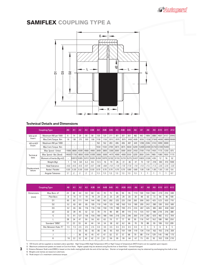

## SAMIFLEX COUPLING TYPE A



### Technical Details and Dimensions

|                        | <b>Coupling Type</b>      | A <sub>0</sub> | A <sub>1</sub> | A <sub>2</sub> | A <sub>3</sub>  | A3B            | A <sub>4</sub> | A4B    | A45    | A <sub>5</sub> | A5B           | A55    | <b>A6</b> | A7     | A <sub>8</sub> | A9     | A10                           | A11    | A12          |
|------------------------|---------------------------|----------------|----------------|----------------|-----------------|----------------|----------------|--------|--------|----------------|---------------|--------|-----------|--------|----------------|--------|-------------------------------|--------|--------------|
| STD & HT               | Maximum KW per 1000       | 6              | 14             | 29             | 58              | 58             | 120            | 120    | 211    | 301            | 301           | 361    | 482       | 963    | 1806           | 2880   | 4607                          | 6157   | 20942        |
| Insert                 | Max. Cont. Torque Nm      | 55             | 138            | 275            | 550             | 550            | 1150           | 1150   | 2013   | 2875           | 2875          | 3450   | 4600      | 9200   | 17250          | 27500  | 44000                         |        | 58800 200000 |
| HD & HDT               | Maximum KW per 1000       | ٠              |                |                | ÷               | $\sim$         | 162            | 162    | 283    | 406            | 406           | 487    | 649       | 1298   | 2346           | 3743   | 5990                          | 8000   |              |
| Insert                 | Max. Cont. Torque Nm      |                |                |                | $\sim$          | ٠              | 1550           | 1550   | 2700   | 3875           | 3875          | 4650   | 6200      |        |                |        | 12400 22400 35750 57200 76400 |        |              |
|                        | Max. Speed - Unbal.       | 11000          | 8800           | 6500           | 4900            | 4900           | 3800           | 3800   | 3300   | 3000           | 3000          | 2650   | 2450      | 2100   | 1750           | 1450   | 1175                          | 1250   | 875          |
| Technical              | Max. Speed - Bal. (Steel) |                | 14650 11750    | 8850           | 6500            | 6500           | 5000           | 5000   | 4475   | 4000           | 4000          | 3550   | 3250      | 2850   | 2345           | 1985   | 1580                          | 1650   | 1175         |
| data                   | Moment of Inertia (Kg-m2) |                | 0.0012 0.005   |                | $0.012$ $0.020$ |                | 0.050          | 0.075  | 0.102  | 0.155          | $0.210$ 0.275 |        | 0.437     | 0.825  | 2.326          | 4.95   | 12                            | 16     | 52           |
|                        | Weight (Kg)               | 1              | 1.8            | 3.8            | 6.2             | 8.5            | 12.5           | 16     | 19     | 26             | 31            | 36     | 47        | 75     | 137            | 218    | 350                           | 410    | 1000         |
|                        | Axial Tolerance           | $+0.3$         | $+0.5$         | $+0.5$         | $+0.7$          | $+0.7$         | $+0.8$         | $+0.8$ | $+1.0$ | $+1.0$         | $+1.0$        | $+1.0$ | $+1.0$    | $+1.0$ | $+1.5$         | $+1.5$ | $+2.0$                        | $+2.0$ | $+3.0$       |
| Displacement<br>values | Radial / Parallel         | 0.30           | 0.30           | 0.50           | 0.50            | 0.50           | 0.70           | 0.70   | 0.70   | 0.70           | 0.70          | 0.80   | 0.80      | 1.00   | 1.00           | 1.00   | 1.50                          | 1.50   | 0.6          |
|                        | Angular Tolerance         | $\overline{c}$ | 2              | $\overline{c}$ | $\overline{c}$  | $\overline{c}$ | 1.3            | 1.3    | 1.3    | 1.3            | 1.3           | 1.3    | 1.3       |        |                |        |                               |        | 0.7          |

|                   | <b>Coupling Type</b>   | A <sub>0</sub>           | A1                       | A2  | A <sub>3</sub> | A3B | A <sub>4</sub> | A4B | A45 | A <sub>5</sub> | A5B | A55 | <b>A6</b> | <b>A7</b> | A <sub>8</sub> | A9  | A10 | A11 | A12 |
|-------------------|------------------------|--------------------------|--------------------------|-----|----------------|-----|----------------|-----|-----|----------------|-----|-----|-----------|-----------|----------------|-----|-----|-----|-----|
| <b>Dimensions</b> | Max. Bore d1           | 24                       | 38                       | 44  | 50             | 58  | 65             | 70  | 75  | 85             | 95  | 95  | 110       | 130       | 150            | 180 | 210 | 210 | 300 |
| (mm)              | <b>Pilot Bore</b>      | 8                        | 14                       | 17  | 19             | 19  | 24             | 24  | 25  | 29             | 29  | 30  | 39        | 48        | 63             | 73  | 96  | 96  | 100 |
|                   | D <sub>1</sub>         | 65                       | 83                       | 111 | 144            | 144 | 182            | 182 | 202 | 225            | 225 | 250 | 265       | 306       | 363            | 425 | 523 | 503 | 710 |
|                   | D <sub>2</sub>         | 52                       | 65                       | 80  | 85             | 105 | 110            | 140 | 125 | 140            | 160 | 155 | 180       | 205       | 242            | 280 | 330 | 350 | 500 |
|                   | D3                     | 52                       | 65                       | 86  | 116            | 116 | 150            | 150 | 170 | 190            | 190 | 215 | 233       | 267       | 326            | 385 | 483 | 458 | 650 |
|                   | d2                     | 32                       | 39                       | 45  | 52             | 52  | 70             | 70  | 90  | 89             | 89  | 115 | 112       | 135       | 157            | 188 | 218 | 216 | 380 |
|                   | G                      | 73                       | 91                       | 127 | 156            | 156 | 180            | 180 | 198 | 216            | 216 | 246 | 260       | 310       | 382            | 420 | 482 | 512 | 709 |
|                   |                        | 28                       | 34                       | 47  | 56             | 56  | 63             | 63  | 70  | 77             | 77  | 90  | 95        | 116       | 147            | 162 | 188 | 190 | 250 |
|                   | Standard "DBSE"        | 17                       | 23                       | 33  | 44             | 44  | 54             | 54  | 58  | 62             | 62  | 66  | 70        | 78        | 88             | 95  | 106 | 132 | 209 |
|                   | Dist. Between Hubs "E" | 1.5                      | 1.5                      | 2.5 | 2.5            | 2.5 | 3.5            | 3.5 | 3.5 | 3.5            | 3.5 | 3.5 | 3.5       | 4         | 5              | 5   | 6   | 6   | 5   |
|                   | н                      | $\overline{\phantom{0}}$ |                          | 55  | 65             | 65  | 85             | 85  | 93  | 101            | 101 | 109 | 119       | 134       | 154            | 162 | 192 | 216 | 359 |
|                   |                        | $\overline{\phantom{0}}$ | $\overline{\phantom{0}}$ | 36  | 45             | 45  | 47             | 47  | 52  | 57             | 57  | 68  | 70        | 88        | 114            | 129 | 145 | 148 | 175 |
|                   | K                      | 16                       | 22                       | 32  | 42             | 42  | 51             | 51  | 56  | 59             | 59  | 64  | 67        | 75        | 85             | 92  | 102 | 128 | 210 |

1) STD Inserts will be supplied as standard unless specified. High Torque (HD), High Temperature (HT) or High Torque & Temperature (HDT) Inserts can be supplied upon request.<br>2) Maximum unbalanced speeds are based on Cast

3) Distance Between Shaft ends (DBSE) is based on the shafts mating flush with the end of the hub face. Shorter or longershaft separations may be obtained by overhanging the shaft or hub

4) Weights and inertias are based on solid hubs.

3

5) Peak torque is 2 x maximum continuous torque.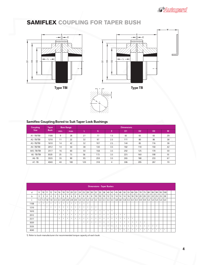

# SAMIFLEX COUPLING FOR TAPER BUSH







### Samiflex Coupling Bored to Suit Taper Lock Bushings

| <b>Coupling</b> | <b>Taper</b> |      | <b>Bore Range</b> |     |     |     | Dimensions     |                |                |    |
|-----------------|--------------|------|-------------------|-----|-----|-----|----------------|----------------|----------------|----|
| <b>Size</b>     | <b>Bush</b>  | min. | max.              |     | G   | E.  | D <sub>1</sub> | D <sub>2</sub> | D <sub>3</sub> | M  |
| A1-TB/TBI       | 1108         | 9    | 28                | 27  | 77  | 1.5 | 83             | 65             | 65             | 29 |
| A2 -TB/TBI      | 1210         | 11   | 32                | 32  | 97  | 2.5 | 111            | 80             | 86             | 38 |
| A3 -TB/TBI      | 1610         | 14   | 42                | 32  | 107 | 2.5 | 144            | 85             | 116            | 38 |
| A4 -TB/TBI      | 2012         | 14   | 50                | 38  | 130 | 3.5 | 182            | 110            | 150            | 42 |
| A45 - TB/TBI    | 2517         | 16   | 60                | 50  | 158 | 3.5 | 202            | 125            | 170            | 50 |
| A5-TB/TBI       | 3020         | 25   | 75                | 56  | 173 | 3.5 | 225            | 160            | 190            | 55 |
| $A6 - TB$       | 3535         | 35   | 90                | 95  | 259 | 3.5 | 265            | 180            | 233            | 67 |
| $A7 - TB$       | 4040         | 40   | 100               | 120 | 318 | 4   | 306            | 205            | 267            | 70 |

|             | <b>Dimensions - Taper Bushes</b> |                 |                |                |     |         |     |     |     |          |          |         |        |                                                                                                         |              |              |                 |                 |    |    |           |              |    |         |     |     |     |                     |       |    |           |     |  |  |
|-------------|----------------------------------|-----------------|----------------|----------------|-----|---------|-----|-----|-----|----------|----------|---------|--------|---------------------------------------------------------------------------------------------------------|--------------|--------------|-----------------|-----------------|----|----|-----------|--------------|----|---------|-----|-----|-----|---------------------|-------|----|-----------|-----|--|--|
| d           | 9                                | 10 <sup>°</sup> | 11             | $ 12\rangle$   | 14  | 16      | 18  | 19  | 20  | 22       | 24       | 25      | 28     | 30 32                                                                                                   |              | 35           | 38              | 40 <sup>1</sup> | 42 | 45 | 48        | 50           | 55 | 60      | 65  | 70  | 75  | 80                  | 85 90 |    | $\mid$ 95 | 100 |  |  |
| $\mathbf b$ | $\overline{3}$                   | 3               | $\overline{4}$ | $\overline{4}$ | 5   | 5       | 6   | 6   | 6   | 6        | 8        | 8       | 8      | 8                                                                                                       | 10           | 10           | 10 <sup>°</sup> | 12 <sub>1</sub> | 12 | 14 | 14        | 14           | 16 | 18      | 18  | 20  | 20  | 22                  | 22    | 25 | 25        | 28  |  |  |
| t           | 1.4                              | 1.4             | 1.8            | 1.8            | 2.3 | 2.3     | 2.8 | 2.8 | 2.8 | 2.8      |          |         |        | $\vert$ 3.3 $\vert$ 3.3 $\vert$ 3.3 $\vert$ 3.3 $\vert$ 3.3 $\vert$ 3.3 $\vert$ 3.3 $\vert$ 3.3 $\vert$ |              |              |                 |                 |    |    | $3.8$ 3.8 | 3.8          |    | 4.3 4.4 | 4.4 | 4.9 | 4.9 | $ 5.4 $ 5.4 5.4 5.4 |       |    |           | 6.4 |  |  |
| 1108        | $\mathcal{H}$ .                  | *               | *              | *              | *   | $\star$ | *   | *   | *   | *        | *        | $\star$ | *      |                                                                                                         |              |              |                 |                 |    |    |           |              |    |         |     |     |     |                     |       |    |           |     |  |  |
| 1210        |                                  |                 | $\ast$         | $\ast$         | *   | $\star$ | *   | *   | *   | *        | *        | $\ast$  | $\ast$ | *                                                                                                       | $\star$      |              |                 |                 |    |    |           |              |    |         |     |     |     |                     |       |    |           |     |  |  |
| 1610        |                                  |                 |                |                | *   | *       | *   | *   | *   | *        | ×.       | *       | *      | $\mathbf{r}$                                                                                            | $\mathbf{a}$ | <b>MC</b>    | $\mathbf{a}$    | *               | *  |    |           |              |    |         |     |     |     |                     |       |    |           |     |  |  |
| 2012        |                                  |                 |                |                | *   | *       | *   | *   | *   | *        | <b>*</b> | $\star$ | *      | *                                                                                                       | *            | $\mathbf{a}$ | $\mathbf{a}$    | *               | *  | *  | *         | $\mathbf{a}$ |    |         |     |     |     |                     |       |    |           |     |  |  |
| 2517        |                                  |                 |                |                |     | *       | *   | *   | *   | <b>M</b> | ×.       | *       | *      | $\ast$                                                                                                  | $\mathbf{a}$ | $\mathbf{r}$ | <b>A</b>        | $\mathbf{r}$    | *  | *  | *         | <b>M</b>     | *  | *       |     |     |     |                     |       |    |           |     |  |  |
| 3020        |                                  |                 |                |                |     |         |     |     |     |          |          | *       | *      | $\ast$                                                                                                  | *            | *            | <b>A</b>        | *               | *  | *  | *         | *            | *  | *       | *   | *   | *   |                     |       |    |           |     |  |  |
| 3535        |                                  |                 |                |                |     |         |     |     |     |          |          |         |        |                                                                                                         |              | *            | *               | $\ast$          | *  | *  | *         | *            | *  | *       | *   | *   | *   | *                   | *     | *  |           |     |  |  |
| 4040        |                                  |                 |                |                |     |         |     |     |     |          |          |         |        |                                                                                                         |              |              |                 | *               | *  | *  | $\ast$    | *            | *  | *       | *   | *   | *   | $\dot{a}$           | *     | *  | *         | *   |  |  |

1) Refer to bush manufacturers for recommended torque capacity of each bush.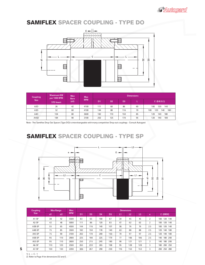

## SAMIFLEX SPACER COUPLING - TYPE DO



| Coupling         | <b>Maximum KW</b><br>per 1000 RPM | <b>Max</b><br><b>Bore</b> | <b>Max</b> |                |                |                | <b>Dimensions</b> |                          |
|------------------|-----------------------------------|---------------------------|------------|----------------|----------------|----------------|-------------------|--------------------------|
| size             | <b>STD Insert</b>                 | (d1)                      | <b>RPM</b> | D <sub>1</sub> | D <sub>2</sub> | D <sub>3</sub> |                   | $C$ (D.B.S.E.)           |
| A <sub>2</sub> D | 26                                | 42                        | 4100       | 111            | 60             | 86             | 60                | 100<br>140<br>120        |
| A <sub>3</sub> D | 52                                | 60                        | 4100       | 144            | 88             | 116            | 70                | 120<br>180<br>140<br>100 |
| A <sub>4</sub> D | 104                               | 80                        | 3600       | 182            | 110            | 150            | 85                | 180<br>120<br>140        |
| A45D             | 184                               | 90                        | 3100       | 202            | 125            | 170            | 95                | 120<br>180<br>140        |

Note - The Samiflex Drop Out Spacer (Type DO) is interchangeable with many competitive Drop-out couplings - Consult Autogard

# SAMIFLEX SPACER COUPLING - TYPE SP



| <b>Coupling</b>   |     | <b>Max Range</b> | <b>Max</b> |                |                |                |                | <b>Dimensions</b> |                |                |                |                   |
|-------------------|-----|------------------|------------|----------------|----------------|----------------|----------------|-------------------|----------------|----------------|----------------|-------------------|
| Size:             | d1  | d2               | <b>RPM</b> | D <sub>1</sub> | D <sub>3</sub> | D <sub>4</sub> | D <sub>5</sub> | L1                | L <sub>2</sub> | L <sub>3</sub> | e              | C (DBSE)          |
| A <sub>1-SP</sub> | 38  | 42               | 5500       | 83             | 65             | 100            | 67             | 34                | 45             | 45             | $\overline{c}$ | 120 140<br>100    |
| A2-SP             | 42  | 48               | 5000       | 111            | 86             | 120            | 83             | 47                | 62             | 62             | $\overline{2}$ | 120 140<br>100    |
| A3B-SP            | 55  | 65               | 4500       | 144            | 116            | 140            | 107            | 56                | 76             | 76             | 2.5            | 120 140<br>100    |
| A4B-SP            | 75  | 85               | 3500       | 182            | 150            | 178            | 140            | 63                | 88             | 88             | 2.5            | 120<br>140 180    |
| A45-SP            | 75  | 90               | 3100       | 202            | 170            | 200            | 150            | 70                | 97             | 97             | 2.5            | 140<br>120<br>180 |
| A5B-SP            | 95  | 110              | 2900       | 225            | 190            | 225            | 179            | 77                | 106            | 106            | 2.5            | 140<br>180 200    |
| A55-SP            | 95  | 110              | 2600       | 250            | 215            | 245            | 180            | 90                | 121            | 121            | 3              | 140<br>180 200    |
| A6-SP             | 110 | 120              | 2500       | 265            | 233            | 265            | 198            | 95                | 128            | 128            | 3              | 200 250<br>180    |
| A7-SP             | 130 | 130              | 2200       | 306            | 267            | 290            | 230            | 116               | 153            | 153            | 3              | 250 280<br>200    |

1) L = C - 1 2) Refer to Page 4 for dimensions D2 and E.